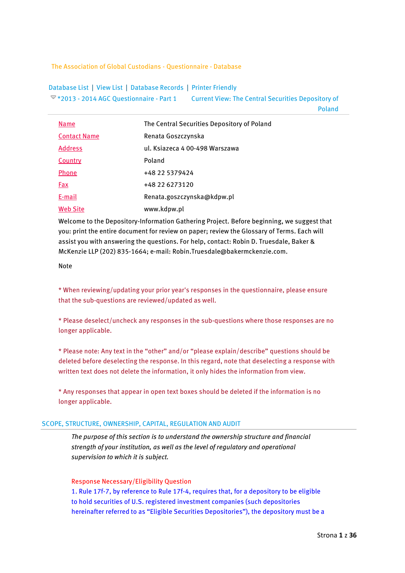The Association of Global Custodians - Questionnaire - Database

[Database List](javascript:DBOperation() | [View List](javascript:DBOperation() | [Database Records](javascript:DBOperation() | [Printer Friendly](javascript:openPrint();) \*2013 - [2014 AGC Questionnaire -](javascript:expandCollapse(document.getElementById() Part 1 Current View: The Central Securities Depository of

Poland

| <u>Name</u>         | The Central Securities Depository of Poland |
|---------------------|---------------------------------------------|
| <b>Contact Name</b> | Renata Goszczynska                          |
| <b>Address</b>      | ul. Ksiazeca 4 00-498 Warszawa              |
| Country             | Poland                                      |
| <b>Phone</b>        | +48 22 5379424                              |
| Fax                 | +48 22 6273120                              |
| E-mail              | Renata.goszczynska@kdpw.pl                  |
| <b>Web Site</b>     | www.kdpw.pl                                 |

Welcome to the Depository-Information Gathering Project. Before beginning, we suggest that you: print the entire document for review on paper; review the Glossary of Terms. Each will assist you with answering the questions. For help, contact: Robin D. Truesdale, Baker & McKenzie LLP (202) 835-1664; e-mail: Robin.Truesdale@bakermckenzie.com.

## Note

\* When reviewing/updating your prior year's responses in the questionnaire, please ensure that the sub-questions are reviewed/updated as well.

\* Please deselect/uncheck any responses in the sub-questions where those responses are no longer applicable.

\* Please note: Any text in the "other" and/or "please explain/describe" questions should be deleted before deselecting the response. In this regard, note that deselecting a response with written text does not delete the information, it only hides the information from view.

\* Any responses that appear in open text boxes should be deleted if the information is no longer applicable.

## SCOPE, STRUCTURE, OWNERSHIP, CAPITAL, REGULATION AND AUDIT

*The purpose of this section is to understand the ownership structure and financial strength of your institution, as well as the level of regulatory and operational supervision to which it is subject.*

### Response Necessary/Eligibility Question

1. Rule 17f-7, by reference to Rule 17f-4, requires that, for a depository to be eligible to hold securities of U.S. registered investment companies (such depositories hereinafter referred to as "Eligible Securities Depositories"), the depository must be a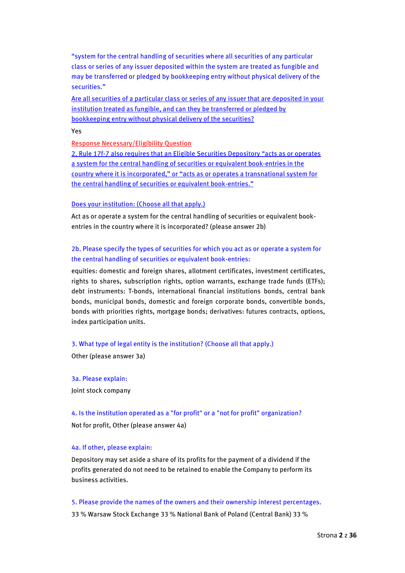"system for the central handling of securities where all securities of any particular class or series of any issuer deposited within the system are treated as fungible and may be transferred or pledged by bookkeeping entry without physical delivery of the securities."

Are all securities of a particular class or series of any issuer that are deposited in your institution treated as fungible, and can they be transferred or pledged by bookkeeping entry without physical delivery of the securities?

Yes

Response Necessary/Eligibility Question

2. Rule 17f-7 also requires that an Eligible Securities Depository "acts as or operates a system for the central handling of securities or equivalent book-entries in the country where it is incorporated," or "acts as or operates a transnational system for the central handling of securities or equivalent book-entries."

## Does your institution: (Choose all that apply.)

Act as or operate a system for the central handling of securities or equivalent bookentries in the country where it is incorporated? (please answer 2b)

# 2b. Please specify the types of securities for which you act as or operate a system for the central handling of securities or equivalent book-entries:

equities: domestic and foreign shares, allotment certificates, investment certificates, rights to shares, subscription rights, option warrants, exchange trade funds (ETFs); debt instruments: T-bonds, international financial institutions bonds, central bank bonds, municipal bonds, domestic and foreign corporate bonds, convertible bonds, bonds with priorities rights, mortgage bonds; derivatives: futures contracts, options, index participation units.

## 3. What type of legal entity is the institution? (Choose all that apply.)

Other (please answer 3a)

3a. Please explain: Joint stock company

4. Is the institution operated as a "for profit" or a "not for profit" organization? Not for profit, Other (please answer 4a)

### 4a. If other, please explain:

Depository may set aside a share of its profits for the payment of a dividend if the profits generated do not need to be retained to enable the Company to perform its business activities.

### 5. Please provide the names of the owners and their ownership interest percentages.

33 % Warsaw Stock Exchange 33 % National Bank of Poland (Central Bank) 33 %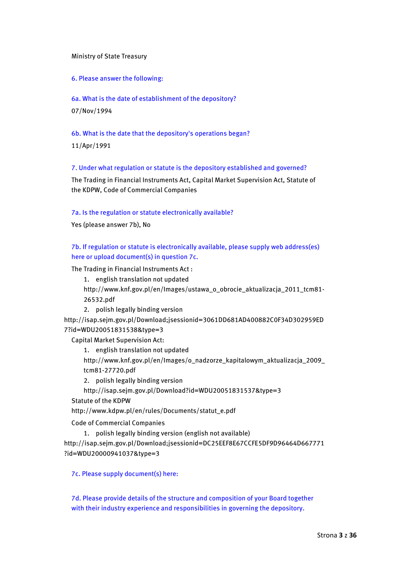## Ministry of State Treasury

6. Please answer the following:

6a. What is the date of establishment of the depository? 07/Nov/1994

6b. What is the date that the depository's operations began?

11/Apr/1991

7. Under what regulation or statute is the depository established and governed?

The Trading in Financial Instruments Act, Capital Market Supervision Act, Statute of the KDPW, Code of Commercial Companies

## 7a. Is the regulation or statute electronically available?

Yes (please answer 7b), No

7b. If regulation or statute is electronically available, please supply web address(es) here or upload document(s) in question 7c.

The Trading in Financial Instruments Act :

1. english translation not updated

http://www.knf.gov.pl/en/Images/ustawa\_o\_obrocie\_aktualizacja\_2011\_tcm81- 26532.pdf

2. polish legally binding version

http://isap.sejm.gov.pl/Download;jsessionid=3061DD681AD400882C0F34D302959ED 7?id=WDU20051831538&type=3

Capital Market Supervision Act:

1. english translation not updated

http://www.knf.gov.pl/en/Images/o\_nadzorze\_kapitalowym\_aktualizacja\_2009\_ tcm81-27720.pdf

2. polish legally binding version

http://isap.sejm.gov.pl/Download?id=WDU20051831537&type=3

Statute of the KDPW

http://www.kdpw.pl/en/rules/Documents/statut\_e.pdf

Code of Commercial Companies

1. polish legally binding version (english not available)

http://isap.sejm.gov.pl/Download;jsessionid=DC25EEF8E67CCFE5DF9D96464D667771 ?id=WDU20000941037&type=3

7c. Please supply document(s) here:

7d. Please provide details of the structure and composition of your Board together with their industry experience and responsibilities in governing the depository.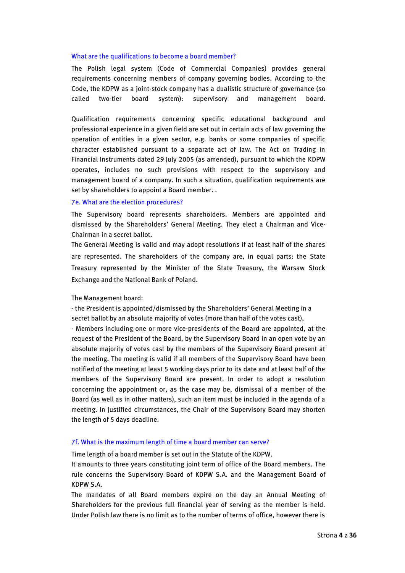#### What are the qualifications to become a board member?

The Polish legal system (Code of Commercial Companies) provides general requirements concerning members of company governing bodies. According to the Code, the KDPW as a joint-stock company has a dualistic structure of governance (so called two-tier board system): supervisory and management board.

Qualification requirements concerning specific educational background and professional experience in a given field are set out in certain acts of law governing the operation of entities in a given sector, e.g. banks or some companies of specific character established pursuant to a separate act of law. The Act on Trading in Financial Instruments dated 29 July 2005 (as amended), pursuant to which the KDPW operates, includes no such provisions with respect to the supervisory and management board of a company. In such a situation, qualification requirements are set by shareholders to appoint a Board member. .

#### 7e. What are the election procedures?

The Supervisory board represents shareholders. Members are appointed and dismissed by the Shareholders' General Meeting. They elect a Chairman and Vice-Chairman in a secret ballot.

The General Meeting is valid and may adopt resolutions if at least half of the shares are represented. The shareholders of the company are, in equal parts: the State Treasury represented by the Minister of the State Treasury, the Warsaw Stock Exchange and the National Bank of Poland.

#### The Management board:

- the President is appointed/dismissed by the Shareholders' General Meeting in a secret ballot by an absolute majority of votes (more than half of the votes cast),

- Members including one or more vice-presidents of the Board are appointed, at the request of the President of the Board, by the Supervisory Board in an open vote by an absolute majority of votes cast by the members of the Supervisory Board present at the meeting. The meeting is valid if all members of the Supervisory Board have been notified of the meeting at least 5 working days prior to its date and at least half of the members of the Supervisory Board are present. In order to adopt a resolution concerning the appointment or, as the case may be, dismissal of a member of the Board (as well as in other matters), such an item must be included in the agenda of a meeting. In justified circumstances, the Chair of the Supervisory Board may shorten the length of 5 days deadline.

#### 7f. What is the maximum length of time a board member can serve?

Time length of a board member is set out in the Statute of the KDPW.

It amounts to three years constituting joint term of office of the Board members. The rule concerns the Supervisory Board of KDPW S.A. and the Management Board of KDPW S.A.

The mandates of all Board members expire on the day an Annual Meeting of Shareholders for the previous full financial year of serving as the member is held. Under Polish law there is no limit as to the number of terms of office, however there is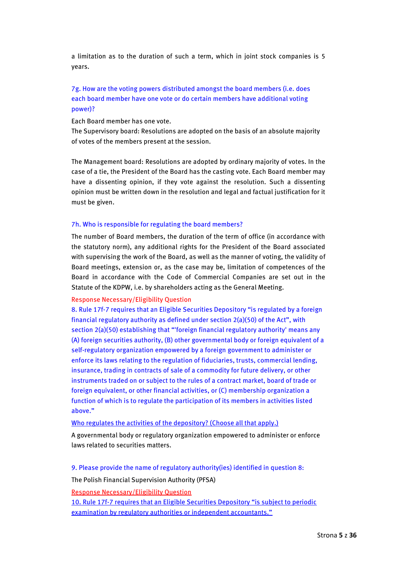a limitation as to the duration of such a term, which in joint stock companies is 5 years.

# 7g. How are the voting powers distributed amongst the board members (i.e. does each board member have one vote or do certain members have additional voting power)?

Each Board member has one vote.

The Supervisory board: Resolutions are adopted on the basis of an absolute majority of votes of the members present at the session.

The Management board: Resolutions are adopted by ordinary majority of votes. In the case of a tie, the President of the Board has the casting vote. Each Board member may have a dissenting opinion, if they vote against the resolution. Such a dissenting opinion must be written down in the resolution and legal and factual justification for it must be given.

## 7h. Who is responsible for regulating the board members?

The number of Board members, the duration of the term of office (in accordance with the statutory norm), any additional rights for the President of the Board associated with supervising the work of the Board, as well as the manner of voting, the validity of Board meetings, extension or, as the case may be, limitation of competences of the Board in accordance with the Code of Commercial Companies are set out in the Statute of the KDPW, i.e. by shareholders acting as the General Meeting.

### Response Necessary/Eligibility Question

8. Rule 17f-7 requires that an Eligible Securities Depository "is regulated by a foreign financial regulatory authority as defined under section  $2(a)(50)$  of the Act", with section 2(a)(50) establishing that "'foreign financial regulatory authority' means any (A) foreign securities authority, (B) other governmental body or foreign equivalent of a self-regulatory organization empowered by a foreign government to administer or enforce its laws relating to the regulation of fiduciaries, trusts, commercial lending, insurance, trading in contracts of sale of a commodity for future delivery, or other instruments traded on or subject to the rules of a contract market, board of trade or foreign equivalent, or other financial activities, or (C) membership organization a function of which is to regulate the participation of its members in activities listed above."

### Who regulates the activities of the depository? (Choose all that apply.)

A governmental body or regulatory organization empowered to administer or enforce laws related to securities matters.

9. Please provide the name of regulatory authority(ies) identified in question 8:

The Polish Financial Supervision Authority (PFSA)

Response Necessary/Eligibility Question

10. Rule 17f-7 requires that an Eligible Securities Depository "is subject to periodic examination by regulatory authorities or independent accountants."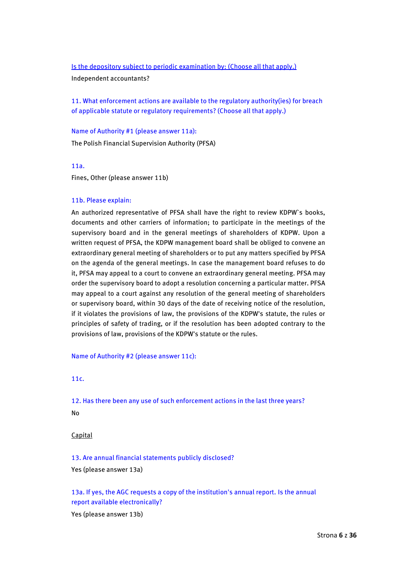### Is the depository subject to periodic examination by: (Choose all that apply.)

Independent accountants?

11. What enforcement actions are available to the regulatory authority(ies) for breach of applicable statute or regulatory requirements? (Choose all that apply.)

Name of Authority #1 (please answer 11a): The Polish Financial Supervision Authority (PFSA)

11a.

Fines, Other (please answer 11b)

### 11b. Please explain:

An authorized representative of PFSA shall have the right to review KDPW`s books, documents and other carriers of information; to participate in the meetings of the supervisory board and in the general meetings of shareholders of KDPW. Upon a written request of PFSA, the KDPW management board shall be obliged to convene an extraordinary general meeting of shareholders or to put any matters specified by PFSA on the agenda of the general meetings. In case the management board refuses to do it, PFSA may appeal to a court to convene an extraordinary general meeting. PFSA may order the supervisory board to adopt a resolution concerning a particular matter. PFSA may appeal to a court against any resolution of the general meeting of shareholders or supervisory board, within 30 days of the date of receiving notice of the resolution, if it violates the provisions of law, the provisions of the KDPW's statute, the rules or principles of safety of trading, or if the resolution has been adopted contrary to the provisions of law, provisions of the KDPW's statute or the rules.

Name of Authority #2 (please answer 11c):

11c.

12. Has there been any use of such enforcement actions in the last three years?

No

**Capital** 

13. Are annual financial statements publicly disclosed?

Yes (please answer 13a)

13a. If yes, the AGC requests a copy of the institution's annual report. Is the annual report available electronically?

Yes (please answer 13b)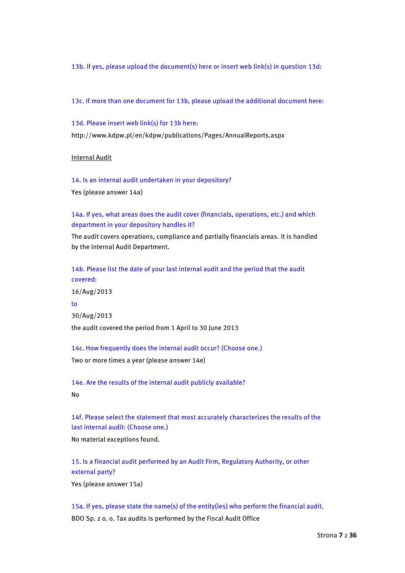13b. If yes, please upload the document(s) here or insert web link(s) in question 13d:

13c. If more than one document for 13b, please upload the additional document here:

13d. Please insert web link(s) for 13b here:

http://www.kdpw.pl/en/kdpw/publications/Pages/AnnualReports.aspx

Internal Audit

14. Is an internal audit undertaken in your depository? Yes (please answer 14a)

14a. If yes, what areas does the audit cover (financials, operations, etc.) and which department in your depository handles it?

The audit covers operations, compliance and partially financials areas. It is handled by the Internal Audit Department.

14b. Please list the date of your last internal audit and the period that the audit covered: 16/Aug/2013 to 30/Aug/2013 the audit covered the period from 1 April to 30 June 2013

14c. How frequently does the internal audit occur? (Choose one.)

Two or more times a year (please answer 14e)

14e. Are the results of the internal audit publicly available? No

14f. Please select the statement that most accurately characterizes the results of the last internal audit: (Choose one.)

No material exceptions found.

15. Is a financial audit performed by an Audit Firm, Regulatory Authority, or other external party?

Yes (please answer 15a)

15a. If yes, please state the name(s) of the entity(ies) who perform the financial audit. BDO Sp. z o. o. Tax audits is performed by the Fiscal Audit Office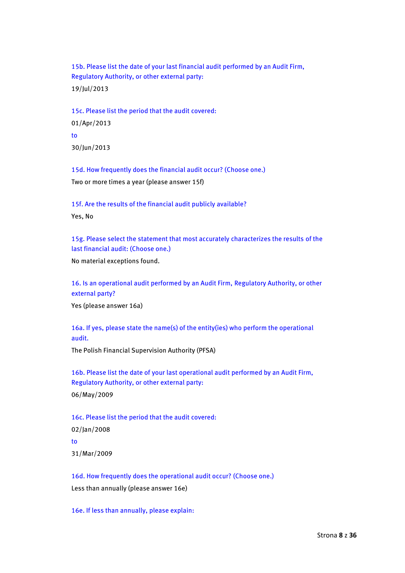15b. Please list the date of your last financial audit performed by an Audit Firm, Regulatory Authority, or other external party: 19/Jul/2013

15c. Please list the period that the audit covered: 01/Apr/2013 to 30/Jun/2013

15d. How frequently does the financial audit occur? (Choose one.) Two or more times a year (please answer 15f)

15f. Are the results of the financial audit publicly available? Yes, No

15g. Please select the statement that most accurately characterizes the results of the last financial audit: (Choose one.)

No material exceptions found.

16. Is an operational audit performed by an Audit Firm, Regulatory Authority, or other external party?

Yes (please answer 16a)

16a. If yes, please state the name(s) of the entity(ies) who perform the operational audit.

The Polish Financial Supervision Authority (PFSA)

16b. Please list the date of your last operational audit performed by an Audit Firm, Regulatory Authority, or other external party: 06/May/2009

16c. Please list the period that the audit covered: 02/Jan/2008 to 31/Mar/2009

16d. How frequently does the operational audit occur? (Choose one.) Less than annually (please answer 16e)

16e. If less than annually, please explain: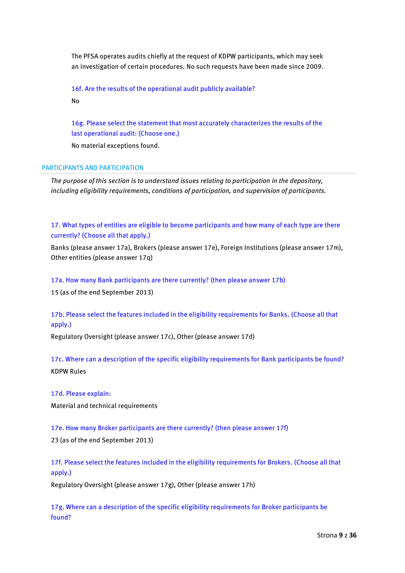The PFSA operates audits chiefly at the request of KDPW participants, which may seek an investigation of certain procedures. No such requests have been made since 2009.

16f. Are the results of the operational audit publicly available?

No

16g. Please select the statement that most accurately characterizes the results of the last operational audit: (Choose one.)

No material exceptions found.

## PARTICIPANTS AND PARTICIPATION

*The purpose of this section is to understand issues relating to participation in the depository, including eligibility requirements, conditions of participation, and supervision of participants.*

17. What types of entities are eligible to become participants and how many of each type are there currently? (Choose all that apply.)

Banks (please answer 17a), Brokers (please answer 17e), Foreign Institutions (please answer 17m), Other entities (please answer 17q)

17a. How many Bank participants are there currently? (then please answer 17b)

15 (as of the end September 2013)

# 17b. Please select the features included in the eligibility requirements for Banks. (Choose all that apply.)

Regulatory Oversight (please answer 17c), Other (please answer 17d)

17c. Where can a description of the specific eligibility requirements for Bank participants be found? KDPW Rules

17d. Please explain:

Material and technical requirements

17e. How many Broker participants are there currently? (then please answer 17f)

23 (as of the end September 2013)

17f. Please select the features included in the eligibility requirements for Brokers. (Choose all that apply.)

Regulatory Oversight (please answer 17g), Other (please answer 17h)

17g. Where can a description of the specific eligibility requirements for Broker participants be found?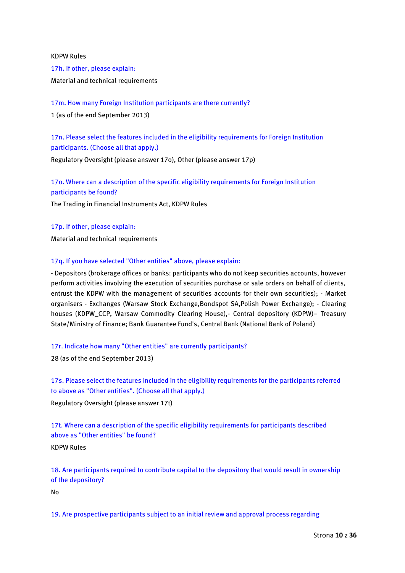KDPW Rules

17h. If other, please explain: Material and technical requirements

17m. How many Foreign Institution participants are there currently?

1 (as of the end September 2013)

17n. Please select the features included in the eligibility requirements for Foreign Institution participants. (Choose all that apply.)

Regulatory Oversight (please answer 17o), Other (please answer 17p)

17o. Where can a description of the specific eligibility requirements for Foreign Institution participants be found?

The Trading in Financial Instruments Act, KDPW Rules

17p. If other, please explain:

Material and technical requirements

## 17q. If you have selected "Other entities" above, please explain:

- Depositors (brokerage offices or banks: participants who do not keep securities accounts, however perform activities involving the execution of securities purchase or sale orders on behalf of clients, entrust the KDPW with the management of securities accounts for their own securities); - Market organisers - Exchanges (Warsaw Stock Exchange,Bondspot SA,Polish Power Exchange); - Clearing houses (KDPW\_CCP, Warsaw Commodity Clearing House),- Central depository (KDPW)- Treasury State/Ministry of Finance; Bank Guarantee Fund's, Central Bank (National Bank of Poland)

# 17r. Indicate how many "Other entities" are currently participants?

28 (as of the end September 2013)

17s. Please select the features included in the eligibility requirements for the participants referred to above as "Other entities". (Choose all that apply.)

Regulatory Oversight (please answer 17t)

17t. Where can a description of the specific eligibility requirements for participants described above as "Other entities" be found?

KDPW Rules

18. Are participants required to contribute capital to the depository that would result in ownership of the depository?

No

19. Are prospective participants subject to an initial review and approval process regarding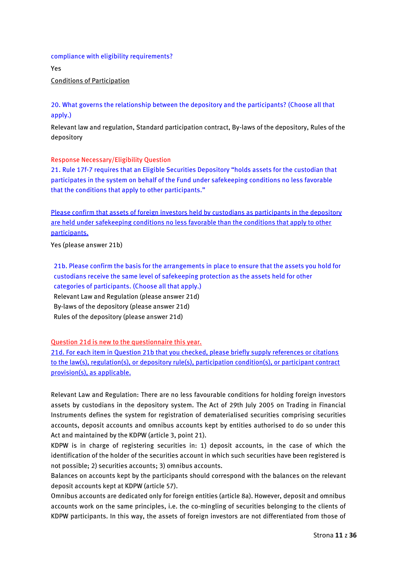## compliance with eligibility requirements?

Yes Conditions of Participation

20. What governs the relationship between the depository and the participants? (Choose all that apply.)

Relevant law and regulation, Standard participation contract, By-laws of the depository, Rules of the depository

## Response Necessary/Eligibility Question

21. Rule 17f-7 requires that an Eligible Securities Depository "holds assets for the custodian that participates in the system on behalf of the Fund under safekeeping conditions no less favorable that the conditions that apply to other participants."

Please confirm that assets of foreign investors held by custodians as participants in the depository are held under safekeeping conditions no less favorable than the conditions that apply to other participants.

Yes (please answer 21b)

21b. Please confirm the basis for the arrangements in place to ensure that the assets you hold for custodians receive the same level of safekeeping protection as the assets held for other categories of participants. (Choose all that apply.) Relevant Law and Regulation (please answer 21d) By-laws of the depository (please answer 21d) Rules of the depository (please answer 21d)

Question 21d is new to the questionnaire this year.

21d. For each item in Question 21b that you checked, please briefly supply references or citations to the law(s), regulation(s), or depository rule(s), participation condition(s), or participant contract provision(s), as applicable.

Relevant Law and Regulation: There are no less favourable conditions for holding foreign investors assets by custodians in the depository system. The Act of 29th July 2005 on Trading in Financial Instruments defines the system for registration of dematerialised securities comprising securities accounts, deposit accounts and omnibus accounts kept by entities authorised to do so under this Act and maintained by the KDPW (article 3, point 21).

KDPW is in charge of registering securities in: 1) deposit accounts, in the case of which the identification of the holder of the securities account in which such securities have been registered is not possible; 2) securities accounts; 3) omnibus accounts.

Balances on accounts kept by the participants should correspond with the balances on the relevant deposit accounts kept at KDPW (article 57).

Omnibus accounts are dedicated only for foreign entities (article 8a). However, deposit and omnibus accounts work on the same principles, i.e. the co-mingling of securities belonging to the clients of KDPW participants. In this way, the assets of foreign investors are not differentiated from those of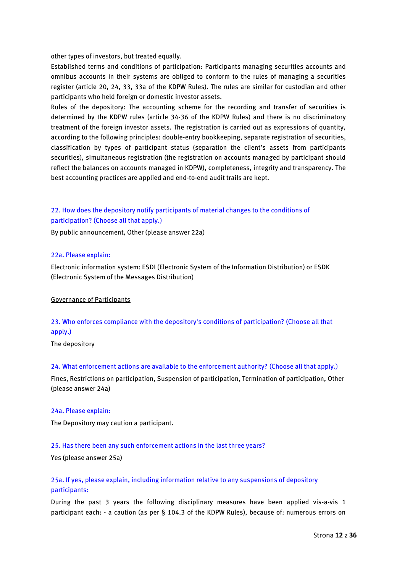other types of investors, but treated equally.

Established terms and conditions of participation: Participants managing securities accounts and omnibus accounts in their systems are obliged to conform to the rules of managing a securities register (article 20, 24, 33, 33a of the KDPW Rules). The rules are similar for custodian and other participants who held foreign or domestic investor assets.

Rules of the depository: The accounting scheme for the recording and transfer of securities is determined by the KDPW rules (article 34-36 of the KDPW Rules) and there is no discriminatory treatment of the foreign investor assets. The registration is carried out as expressions of quantity, according to the following principles: double-entry bookkeeping, separate registration of securities, classification by types of participant status (separation the client's assets from participants securities), simultaneous registration (the registration on accounts managed by participant should reflect the balances on accounts managed in KDPW), completeness, integrity and transparency. The best accounting practices are applied and end-to-end audit trails are kept.

# 22. How does the depository notify participants of material changes to the conditions of participation? (Choose all that apply.)

By public announcement, Other (please answer 22a)

## 22a. Please explain:

Electronic information system: ESDI (Electronic System of the Information Distribution) or ESDK (Electronic System of the Messages Distribution)

### Governance of Participants

# 23. Who enforces compliance with the depository's conditions of participation? (Choose all that apply.)

The depository

## 24. What enforcement actions are available to the enforcement authority? (Choose all that apply.)

Fines, Restrictions on participation, Suspension of participation, Termination of participation, Other (please answer 24a)

### 24a. Please explain:

The Depository may caution a participant.

## 25. Has there been any such enforcement actions in the last three years?

Yes (please answer 25a)

# 25a. If yes, please explain, including information relative to any suspensions of depository participants:

During the past 3 years the following disciplinary measures have been applied vis-a-vis 1 participant each: - a caution (as per § 104.3 of the KDPW Rules), because of: numerous errors on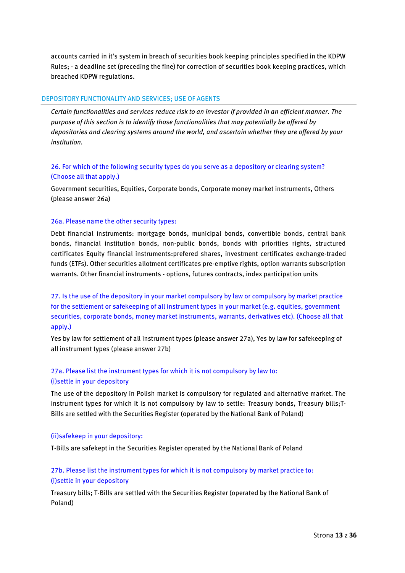accounts carried in it's system in breach of securities book keeping principles specified in the KDPW Rules; - a deadline set (preceding the fine) for correction of securities book keeping practices, which breached KDPW regulations.

## DEPOSITORY FUNCTIONALITY AND SERVICES; USE OF AGENTS

*Certain functionalities and services reduce risk to an investor if provided in an efficient manner. The purpose of this section is to identify those functionalities that may potentially be offered by depositories and clearing systems around the world, and ascertain whether they are offered by your institution.*

# 26. For which of the following security types do you serve as a depository or clearing system? (Choose all that apply.)

Government securities, Equities, Corporate bonds, Corporate money market instruments, Others (please answer 26a)

## 26a. Please name the other security types:

Debt financial instruments: mortgage bonds, municipal bonds, convertible bonds, central bank bonds, financial institution bonds, non-public bonds, bonds with priorities rights, structured certificates Equity financial instruments:prefered shares, investment certificates exchange-traded funds (ETFs). Other securities allotment certificates pre-emptive rights, option warrants subscription warrants. Other financial instruments - options, futures contracts, index participation units

27. Is the use of the depository in your market compulsory by law or compulsory by market practice for the settlement or safekeeping of all instrument types in your market (e.g. equities, government securities, corporate bonds, money market instruments, warrants, derivatives etc). (Choose all that apply.)

Yes by law for settlement of all instrument types (please answer 27a), Yes by law for safekeeping of all instrument types (please answer 27b)

# 27a. Please list the instrument types for which it is not compulsory by law to: (i)settle in your depository

The use of the depository in Polish market is compulsory for regulated and alternative market. The instrument types for which it is not compulsory by law to settle: Treasury bonds, Treasury bills;T-Bills are settled with the Securities Register (operated by the National Bank of Poland)

## (ii)safekeep in your depository:

T-Bills are safekept in the Securities Register operated by the National Bank of Poland

# 27b. Please list the instrument types for which it is not compulsory by market practice to: (i)settle in your depository

Treasury bills; T-Bills are settled with the Securities Register (operated by the National Bank of Poland)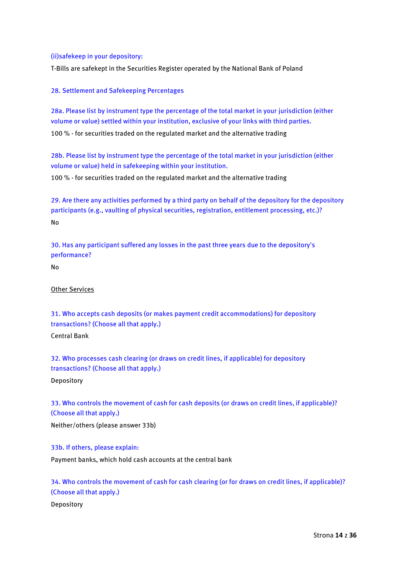## (ii)safekeep in your depository:

T-Bills are safekept in the Securities Register operated by the National Bank of Poland

## 28. Settlement and Safekeeping Percentages

28a. Please list by instrument type the percentage of the total market in your jurisdiction (either volume or value) settled within your institution, exclusive of your links with third parties.

100 % - for securities traded on the regulated market and the alternative trading

28b. Please list by instrument type the percentage of the total market in your jurisdiction (either volume or value) held in safekeeping within your institution.

100 % - for securities traded on the regulated market and the alternative trading

29. Are there any activities performed by a third party on behalf of the depository for the depository participants (e.g., vaulting of physical securities, registration, entitlement processing, etc.)? No

30. Has any participant suffered any losses in the past three years due to the depository's performance?

No

### Other Services

31. Who accepts cash deposits (or makes payment credit accommodations) for depository transactions? (Choose all that apply.)

Central Bank

32. Who processes cash clearing (or draws on credit lines, if applicable) for depository transactions? (Choose all that apply.) Depository

33. Who controls the movement of cash for cash deposits (or draws on credit lines, if applicable)? (Choose all that apply.)

Neither/others (please answer 33b)

33b. If others, please explain:

Payment banks, which hold cash accounts at the central bank

34. Who controls the movement of cash for cash clearing (or for draws on credit lines, if applicable)? (Choose all that apply.)

Depository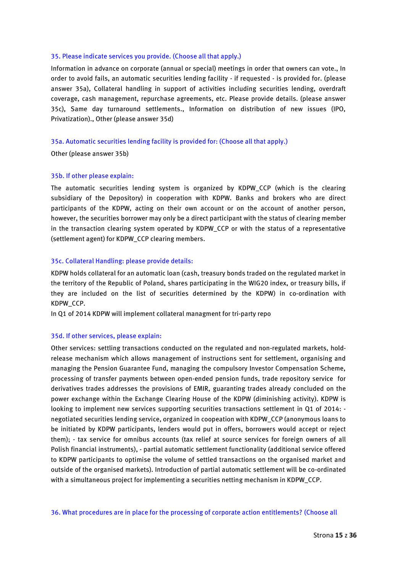### 35. Please indicate services you provide. (Choose all that apply.)

Information in advance on corporate (annual or special) meetings in order that owners can vote., In order to avoid fails, an automatic securities lending facility - if requested - is provided for. (please answer 35a), Collateral handling in support of activities including securities lending, overdraft coverage, cash management, repurchase agreements, etc. Please provide details. (please answer 35c), Same day turnaround settlements., Information on distribution of new issues (IPO, Privatization)., Other (please answer 35d)

### 35a. Automatic securities lending facility is provided for: (Choose all that apply.)

Other (please answer 35b)

#### 35b. If other please explain:

The automatic securities lending system is organized by KDPW\_CCP (which is the clearing subsidiary of the Depository) in cooperation with KDPW. Banks and brokers who are direct participants of the KDPW, acting on their own account or on the account of another person, however, the securities borrower may only be a direct participant with the status of clearing member in the transaction clearing system operated by KDPW\_CCP or with the status of a representative (settlement agent) for KDPW\_CCP clearing members.

#### 35c. Collateral Handling: please provide details:

KDPW holds collateral for an automatic loan (cash, treasury bonds traded on the regulated market in the territory of the Republic of Poland, shares participating in the WIG20 index, or treasury bills, if they are included on the list of securities determined by the KDPW) in co-ordination with KDPW\_CCP.

In Q1 of 2014 KDPW will implement collateral managment for tri-party repo

### 35d. If other services, please explain:

Other services: settling transactions conducted on the regulated and non-regulated markets, holdrelease mechanism which allows management of instructions sent for settlement, organising and managing the Pension Guarantee Fund, managing the compulsory Investor Compensation Scheme, processing of transfer payments between open-ended pension funds, trade repository service for derivatives trades addresses the provisions of EMIR, guaranting trades already concluded on the power exchange within the Exchange Clearing House of the KDPW (diminishing activity). KDPW is looking to implement new services supporting securities transactions settlement in Q1 of 2014: negotiated securities lending service, organized in coopeation with KDPW\_CCP (anonymous loans to be initiated by KDPW participants, lenders would put in offers, borrowers would accept or reject them); - tax service for omnibus accounts (tax relief at source services for foreign owners of all Polish financial instruments), - partial automatic settlement functionality (additional service offered to KDPW participants to optimise the volume of settled transactions on the organised market and outside of the organised markets). Introduction of partial automatic settlement will be co-ordinated with a simultaneous project for implementing a securities netting mechanism in KDPW\_CCP.

36. What procedures are in place for the processing of corporate action entitlements? (Choose all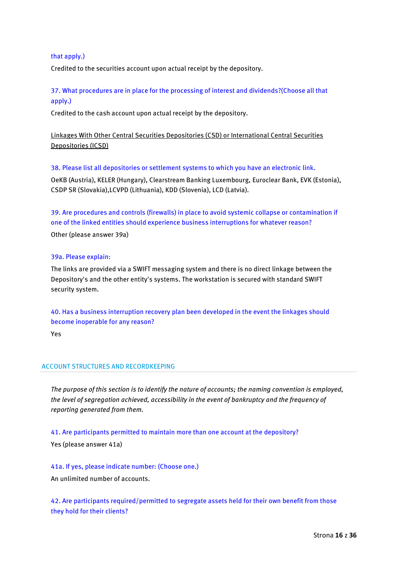# that apply.)

Credited to the securities account upon actual receipt by the depository.

# 37. What procedures are in place for the processing of interest and dividends?(Choose all that apply.)

Credited to the cash account upon actual receipt by the depository.

# Linkages With Other Central Securities Depositories (CSD) or International Central Securities Depositories (ICSD)

38. Please list all depositories or settlement systems to which you have an electronic link.

OeKB (Austria), KELER (Hungary), Clearstream Banking Luxembourg, Euroclear Bank, EVK (Estonia), CSDP SR (Slovakia),LCVPD (Lithuania), KDD (Slovenia), LCD (Latvia).

39. Are procedures and controls (firewalls) in place to avoid systemic collapse or contamination if one of the linked entities should experience business interruptions for whatever reason?

Other (please answer 39a)

### 39a. Please explain:

The links are provided via a SWIFT messaging system and there is no direct linkage between the Depository's and the other entity's systems. The workstation is secured with standard SWIFT security system.

40. Has a business interruption recovery plan been developed in the event the linkages should become inoperable for any reason?

Yes

# ACCOUNT STRUCTURES AND RECORDKEEPING

*The purpose of this section is to identify the nature of accounts; the naming convention is employed, the level of segregation achieved, accessibility in the event of bankruptcy and the frequency of reporting generated from them.*

41. Are participants permitted to maintain more than one account at the depository? Yes (please answer 41a)

41a. If yes, please indicate number: (Choose one.) An unlimited number of accounts.

42. Are participants required/permitted to segregate assets held for their own benefit from those they hold for their clients?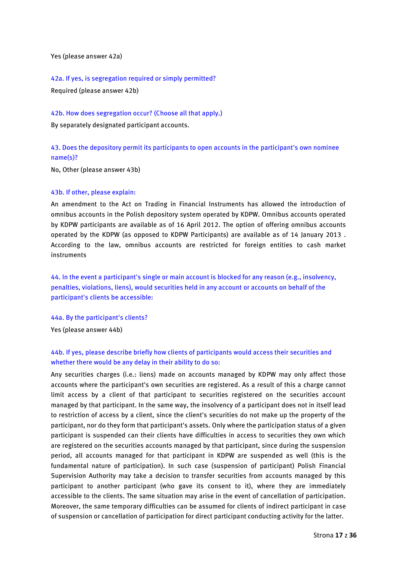Yes (please answer 42a)

42a. If yes, is segregation required or simply permitted?

Required (please answer 42b)

42b. How does segregation occur? (Choose all that apply.)

By separately designated participant accounts.

43. Does the depository permit its participants to open accounts in the participant's own nominee name(s)?

No, Other (please answer 43b)

### 43b. If other, please explain:

An amendment to the Act on Trading in Financial Instruments has allowed the introduction of omnibus accounts in the Polish depository system operated by KDPW. Omnibus accounts operated by KDPW participants are available as of 16 April 2012. The option of offering omnibus accounts operated by the KDPW (as opposed to KDPW Participants) are available as of 14 January 2013 . According to the law, omnibus accounts are restricted for foreign entities to cash market instruments

44. In the event a participant's single or main account is blocked for any reason (e.g., insolvency, penalties, violations, liens), would securities held in any account or accounts on behalf of the participant's clients be accessible:

44a. By the participant's clients?

Yes (please answer 44b)

# 44b. If yes, please describe briefly how clients of participants would access their securities and whether there would be any delay in their ability to do so:

Any securities charges (i.e.: liens) made on accounts managed by KDPW may only affect those accounts where the participant's own securities are registered. As a result of this a charge cannot limit access by a client of that participant to securities registered on the securities account managed by that participant. In the same way, the insolvency of a participant does not in itself lead to restriction of access by a client, since the client's securities do not make up the property of the participant, nor do they form that participant's assets. Only where the participation status of a given participant is suspended can their clients have difficulties in access to securities they own which are registered on the securities accounts managed by that participant, since during the suspension period, all accounts managed for that participant in KDPW are suspended as well (this is the fundamental nature of participation). In such case (suspension of participant) Polish Financial Supervision Authority may take a decision to transfer securities from accounts managed by this participant to another participant (who gave its consent to it), where they are immediately accessible to the clients. The same situation may arise in the event of cancellation of participation. Moreover, the same temporary difficulties can be assumed for clients of indirect participant in case of suspension or cancellation of participation for direct participant conducting activity for the latter.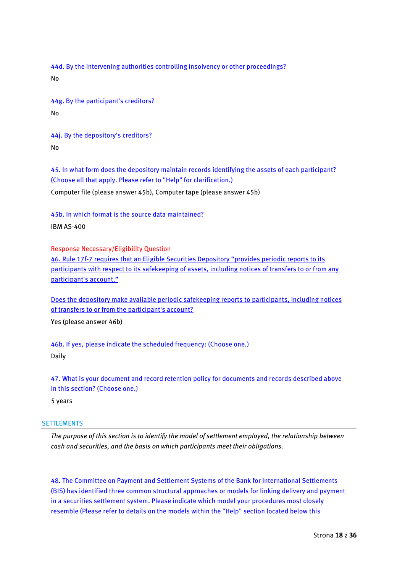44d. By the intervening authorities controlling insolvency or other proceedings? No

44g. By the participant's creditors? No

44j. By the depository's creditors? No

45. In what form does the depository maintain records identifying the assets of each participant? (Choose all that apply. Please refer to "Help" for clarification.)

Computer file (please answer 45b), Computer tape (please answer 45b)

45b. In which format is the source data maintained? IBM AS-400

Response Necessary/Eligibility Question

46. Rule 17f-7 requires that an Eligible Securities Depository "provides periodic reports to its participants with respect to its safekeeping of assets, including notices of transfers to or from any participant's account."

Does the depository make available periodic safekeeping reports to participants, including notices of transfers to or from the participant's account?

Yes (please answer 46b)

46b. If yes, please indicate the scheduled frequency: (Choose one.) Daily

47. What is your document and record retention policy for documents and records described above in this section? (Choose one.)

5 years

## **SETTLEMENTS**

*The purpose of this section is to identify the model of settlement employed, the relationship between cash and securities, and the basis on which participants meet their obligations.*

48. The Committee on Payment and Settlement Systems of the Bank for International Settlements (BIS) has identified three common structural approaches or models for linking delivery and payment in a securities settlement system. Please indicate which model your procedures most closely resemble (Please refer to details on the models within the "Help" section located below this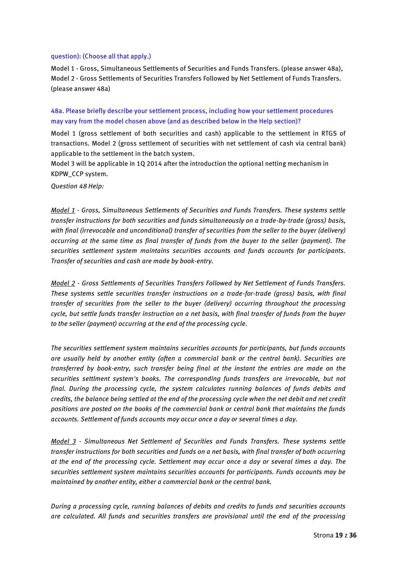### question): (Choose all that apply.)

Model 1 - Gross, Simultaneous Settlements of Securities and Funds Transfers. (please answer 48a), Model 2 - Gross Settlements of Securities Transfers Followed by Net Settlement of Funds Transfers. (please answer 48a)

48a. Please briefly describe your settlement process, including how your settlement procedures may vary from the model chosen above (and as described below in the Help section)?

Model 1 (gross settlement of both securities and cash) applicable to the settlement in RTGS of transactions. Model 2 (gross settlement of securities with net settlement of cash via central bank) applicable to the settlement in the batch system.

Model 3 will be applicable in 1Q 2014 after the introduction the optional netting mechanism in KDPW\_CCP system.

*Question 48 Help:*

*Model 1 - Gross, Simultaneous Settlements of Securities and Funds Transfers. These systems settle transfer instructions for both securities and funds simultaneously on a trade-by-trade (gross) basis, with final (irrevocable and unconditional) transfer of securities from the seller to the buyer (delivery) occurring at the same time as final transfer of funds from the buyer to the seller (payment). The securities settlement system maintains securities accounts and funds accounts for participants. Transfer of securities and cash are made by book-entry.*

*Model 2 - Gross Settlements of Securities Transfers Followed by Net Settlement of Funds Transfers. These systems settle securities transfer instructions on a trade-for-trade (gross) basis, with final transfer of securities from the seller to the buyer (delivery) occurring throughout the processing cycle, but settle funds transfer instruction on a net basis, with final transfer of funds from the buyer to the seller (payment) occurring at the end of the processing cycle.*

*The securities settlement system maintains securities accounts for participants, but funds accounts are usually held by another entity (often a commercial bank or the central bank). Securities are transferred by book-entry, such transfer being final at the instant the entries are made on the securities settlment system's books. The corresponding funds transfers are irrevocable, but not final. During the processing cycle, the system calculates running balances of funds debits and credits, the balance being settled at the end of the processing cycle when the net debit and net credit positions are posted on the books of the commercial bank or central bank that maintains the funds accounts. Settlement of funds accounts may occur once a day or several times a day.*

*Model 3 - Simultaneous Net Settlement of Securities and Funds Transfers. These systems settle transfer instructions for both securities and funds on a net basis, with final transfer of both occurring at the end of the processing cycle. Settlement may occur once a day or several times a day. The securities settlement system maintains securities accounts for participants. Funds accounts may be maintained by another entity, either a commercial bank or the central bank.*

*During a processing cycle, running balances of debits and credits to funds and securities accounts are calculated. All funds and securities transfers are provisional until the end of the processing*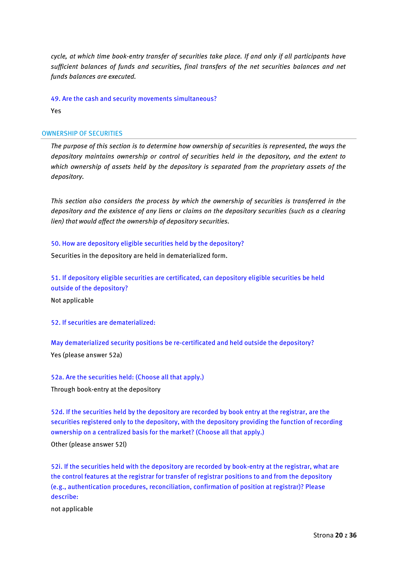*cycle, at which time book-entry transfer of securities take place. If and only if all participants have sufficient balances of funds and securities, final transfers of the net securities balances and net funds balances are executed.*

49. Are the cash and security movements simultaneous?

Yes

## OWNERSHIP OF SECURITIES

*The purpose of this section is to determine how ownership of securities is represented, the ways the depository maintains ownership or control of securities held in the depository, and the extent to which ownership of assets held by the depository is separated from the proprietary assets of the depository.*

*This section also considers the process by which the ownership of securities is transferred in the depository and the existence of any liens or claims on the depository securities (such as a clearing lien) that would affect the ownership of depository securities.*

## 50. How are depository eligible securities held by the depository?

Securities in the depository are held in dematerialized form.

51. If depository eligible securities are certificated, can depository eligible securities be held outside of the depository?

Not applicable

52. If securities are dematerialized:

May dematerialized security positions be re-certificated and held outside the depository? Yes (please answer 52a)

52a. Are the securities held: (Choose all that apply.)

Through book-entry at the depository

52d. If the securities held by the depository are recorded by book entry at the registrar, are the securities registered only to the depository, with the depository providing the function of recording ownership on a centralized basis for the market? (Choose all that apply.)

Other (please answer 52l)

52i. If the securities held with the depository are recorded by book-entry at the registrar, what are the control features at the registrar for transfer of registrar positions to and from the depository (e.g., authentication procedures, reconciliation, confirmation of position at registrar)? Please describe:

not applicable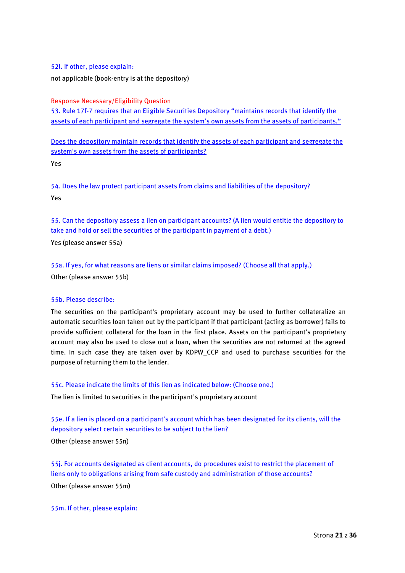### 52l. If other, please explain:

not applicable (book-entry is at the depository)

Response Necessary/Eligibility Question

53. Rule 17f-7 requires that an Eligible Securities Depository "maintains records that identify the assets of each participant and segregate the system's own assets from the assets of participants."

Does the depository maintain records that identify the assets of each participant and segregate the system's own assets from the assets of participants? Yes

54. Does the law protect participant assets from claims and liabilities of the depository? Yes

55. Can the depository assess a lien on participant accounts? (A lien would entitle the depository to take and hold or sell the securities of the participant in payment of a debt.)

Yes (please answer 55a)

55a. If yes, for what reasons are liens or similar claims imposed? (Choose all that apply.) Other (please answer 55b)

### 55b. Please describe:

The securities on the participant's proprietary account may be used to further collateralize an automatic securities loan taken out by the participant if that participant (acting as borrower) fails to provide sufficient collateral for the loan in the first place. Assets on the participant's proprietary account may also be used to close out a loan, when the securities are not returned at the agreed time. In such case they are taken over by KDPW\_CCP and used to purchase securities for the purpose of returning them to the lender.

## 55c. Please indicate the limits of this lien as indicated below: (Choose one.)

The lien is limited to securities in the participant's proprietary account

55e. If a lien is placed on a participant's account which has been designated for its clients, will the depository select certain securities to be subject to the lien?

Other (please answer 55n)

55j. For accounts designated as client accounts, do procedures exist to restrict the placement of liens only to obligations arising from safe custody and administration of those accounts? Other (please answer 55m)

55m. If other, please explain: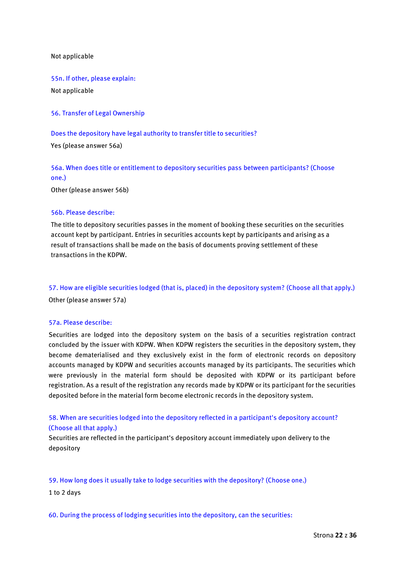Not applicable

55n. If other, please explain: Not applicable

56. Transfer of Legal Ownership

Does the depository have legal authority to transfer title to securities? Yes (please answer 56a)

56a. When does title or entitlement to depository securities pass between participants? (Choose one.)

Other (please answer 56b)

### 56b. Please describe:

The title to depository securities passes in the moment of booking these securities on the securities account kept by participant. Entries in securities accounts kept by participants and arising as a result of transactions shall be made on the basis of documents proving settlement of these transactions in the KDPW.

57. How are eligible securities lodged (that is, placed) in the depository system? (Choose all that apply.) Other (please answer 57a)

### 57a. Please describe:

Securities are lodged into the depository system on the basis of a securities registration contract concluded by the issuer with KDPW. When KDPW registers the securities in the depository system, they become dematerialised and they exclusively exist in the form of electronic records on depository accounts managed by KDPW and securities accounts managed by its participants. The securities which were previously in the material form should be deposited with KDPW or its participant before registration. As a result of the registration any records made by KDPW or its participant for the securities deposited before in the material form become electronic records in the depository system.

58. When are securities lodged into the depository reflected in a participant's depository account? (Choose all that apply.)

Securities are reflected in the participant's depository account immediately upon delivery to the depository

59. How long does it usually take to lodge securities with the depository? (Choose one.) 1 to 2 days

60. During the process of lodging securities into the depository, can the securities: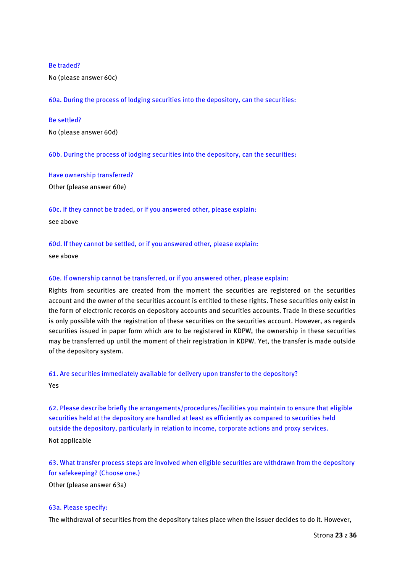### Be traded?

No (please answer 60c)

60a. During the process of lodging securities into the depository, can the securities:

#### Be settled?

No (please answer 60d)

60b. During the process of lodging securities into the depository, can the securities:

Have ownership transferred?

Other (please answer 60e)

60c. If they cannot be traded, or if you answered other, please explain: see above

60d. If they cannot be settled, or if you answered other, please explain:

see above

## 60e. If ownership cannot be transferred, or if you answered other, please explain:

Rights from securities are created from the moment the securities are registered on the securities account and the owner of the securities account is entitled to these rights. These securities only exist in the form of electronic records on depository accounts and securities accounts. Trade in these securities is only possible with the registration of these securities on the securities account. However, as regards securities issued in paper form which are to be registered in KDPW, the ownership in these securities may be transferred up until the moment of their registration in KDPW. Yet, the transfer is made outside of the depository system.

## 61. Are securities immediately available for delivery upon transfer to the depository?

Yes

62. Please describe briefly the arrangements/procedures/facilities you maintain to ensure that eligible securities held at the depository are handled at least as efficiently as compared to securities held outside the depository, particularly in relation to income, corporate actions and proxy services. Not applicable

63. What transfer process steps are involved when eligible securities are withdrawn from the depository for safekeeping? (Choose one.)

Other (please answer 63a)

### 63a. Please specify:

The withdrawal of securities from the depository takes place when the issuer decides to do it. However,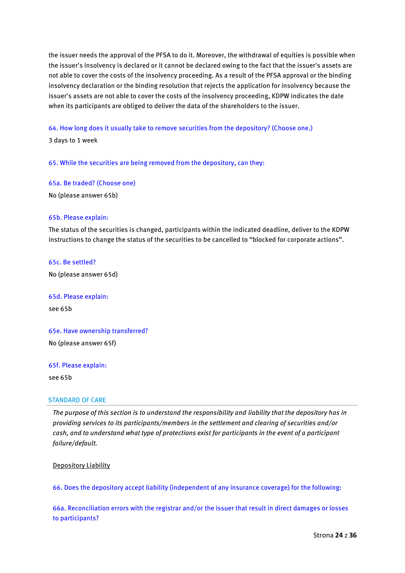the issuer needs the approval of the PFSA to do it. Moreover, the withdrawal of equities is possible when the issuer's insolvency is declared or it cannot be declared owing to the fact that the issuer's assets are not able to cover the costs of the insolvency proceeding. As a result of the PFSA approval or the binding insolvency declaration or the binding resolution that rejects the application for insolvency because the issuer's assets are not able to cover the costs of the insolvency proceeding, KDPW indicates the date when its participants are obliged to deliver the data of the shareholders to the issuer.

64. How long does it usually take to remove securities from the depository? (Choose one.)

3 days to 1 week

65. While the securities are being removed from the depository, can they:

65a. Be traded? (Choose one)

No (please answer 65b)

### 65b. Please explain:

The status of the securities is changed, participants within the indicated deadline, deliver to the KDPW instructions to change the status of the securities to be cancelled to "blocked for corporate actions".

65c. Be settled?

No (please answer 65d)

65d. Please explain: see 65b

65e. Have ownership transferred? No (please answer 65f)

65f. Please explain:

see 65b

#### STANDARD OF CARE

*The purpose of this section is to understand the responsibility and liability that the depository has in providing services to its participants/members in the settlement and clearing of securities and/or cash, and to understand what type of protections exist for participants in the event of a participant failure/default.*

Depository Liability

66. Does the depository accept liability (independent of any insurance coverage) for the following:

66a. Reconciliation errors with the registrar and/or the issuer that result in direct damages or losses to participants?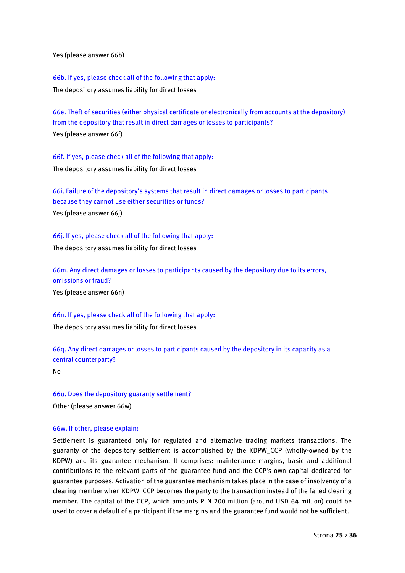Yes (please answer 66b)

66b. If yes, please check all of the following that apply: The depository assumes liability for direct losses

66e. Theft of securities (either physical certificate or electronically from accounts at the depository) from the depository that result in direct damages or losses to participants?

Yes (please answer 66f)

66f. If yes, please check all of the following that apply: The depository assumes liability for direct losses

66i. Failure of the depository's systems that result in direct damages or losses to participants because they cannot use either securities or funds? Yes (please answer 66j)

66j. If yes, please check all of the following that apply: The depository assumes liability for direct losses

66m. Any direct damages or losses to participants caused by the depository due to its errors, omissions or fraud?

Yes (please answer 66n)

66n. If yes, please check all of the following that apply:

The depository assumes liability for direct losses

66q. Any direct damages or losses to participants caused by the depository in its capacity as a central counterparty?

No

66u. Does the depository guaranty settlement? Other (please answer 66w)

## 66w. If other, please explain:

Settlement is guaranteed only for regulated and alternative trading markets transactions. The guaranty of the depository settlement is accomplished by the KDPW\_CCP (wholly-owned by the KDPW) and its guarantee mechanism. It comprises: maintenance margins, basic and additional contributions to the relevant parts of the guarantee fund and the CCP's own capital dedicated for guarantee purposes. Activation of the guarantee mechanism takes place in the case of insolvency of a clearing member when KDPW\_CCP becomes the party to the transaction instead of the failed clearing member. The capital of the CCP, which amounts PLN 200 million (around USD 64 million) could be used to cover a default of a participant if the margins and the guarantee fund would not be sufficient.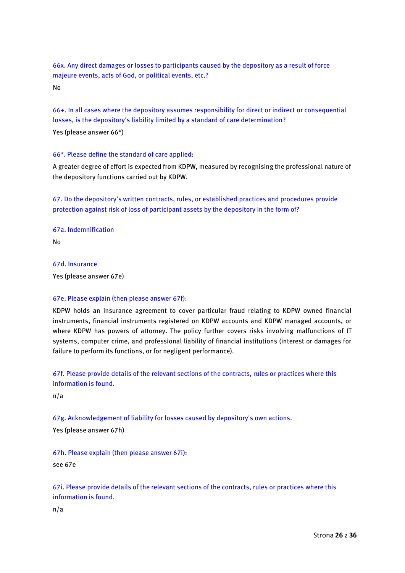66x. Any direct damages or losses to participants caused by the depository as a result of force majeure events, acts of God, or political events, etc.?

No

66+. In all cases where the depository assumes responsibility for direct or indirect or consequential losses, is the depository's liability limited by a standard of care determination?

Yes (please answer 66\*)

## 66\*. Please define the standard of care applied:

A greater degree of effort is expected from KDPW, measured by recognising the professional nature of the depository functions carried out by KDPW.

67. Do the depository's written contracts, rules, or established practices and procedures provide protection against risk of loss of participant assets by the depository in the form of?

67a. Indemnification

No

67d. Insurance

Yes (please answer 67e)

### 67e. Please explain (then please answer 67f):

KDPW holds an insurance agreement to cover particular fraud relating to KDPW owned financial instruments, financial instruments registered on KDPW accounts and KDPW managed accounts, or where KDPW has powers of attorney. The policy further covers risks involving malfunctions of IT systems, computer crime, and professional liability of financial institutions (interest or damages for failure to perform its functions, or for negligent performance).

67f. Please provide details of the relevant sections of the contracts, rules or practices where this information is found.

n/a

67g. Acknowledgement of liability for losses caused by depository's own actions.

Yes (please answer 67h)

67h. Please explain (then please answer 67i):

see 67e

67i. Please provide details of the relevant sections of the contracts, rules or practices where this information is found.

n/a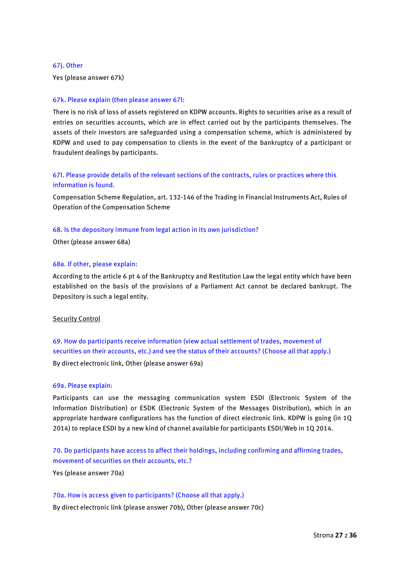#### 67j. Other

Yes (please answer 67k)

### 67k. Please explain (then please answer 67l:

There is no risk of loss of assets registered on KDPW accounts. Rights to securities arise as a result of entries on securities accounts, which are in effect carried out by the participants themselves. The assets of their investors are safeguarded using a compensation scheme, which is administered by KDPW and used to pay compensation to clients in the event of the bankruptcy of a participant or fraudulent dealings by participants.

# 67l. Please provide details of the relevant sections of the contracts, rules or practices where this information is found.

Compensation Scheme Regulation, art. 132-146 of the Trading in Financial Instruments Act, Rules of Operation of the Compensation Scheme

#### 68. Is the depository immune from legal action in its own jurisdiction?

Other (please answer 68a)

### 68a. If other, please explain:

According to the article 6 pt 4 of the Bankruptcy and Restitution Law the legal entity which have been established on the basis of the provisions of a Parliament Act cannot be declared bankrupt. The Depository is such a legal entity.

### Security Control

69. How do participants receive information (view actual settlement of trades, movement of securities on their accounts, etc.) and see the status of their accounts? (Choose all that apply.)

By direct electronic link, Other (please answer 69a)

### 69a. Please explain:

Participants can use the messaging communication system ESDI (Electronic System of the Information Distribution) or ESDK (Electronic System of the Messages Distribution), which in an appropriate hardware configurations has the function of direct electronic link. KDPW is going (in 1Q 2014) to replace ESDI by a new kind of channel available for participants ESDI/Web in 1Q 2014.

# 70. Do participants have access to affect their holdings, including confirming and affirming trades, movement of securities on their accounts, etc.?

Yes (please answer 70a)

### 70a. How is access given to participants? (Choose all that apply.)

By direct electronic link (please answer 70b), Other (please answer 70c)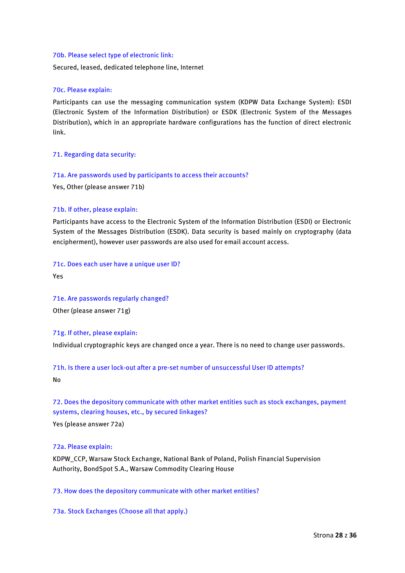### 70b. Please select type of electronic link:

Secured, leased, dedicated telephone line, Internet

## 70c. Please explain:

Participants can use the messaging communication system (KDPW Data Exchange System): ESDI (Electronic System of the Information Distribution) or ESDK (Electronic System of the Messages Distribution), which in an appropriate hardware configurations has the function of direct electronic link.

## 71. Regarding data security:

## 71a. Are passwords used by participants to access their accounts?

Yes, Other (please answer 71b)

## 71b. If other, please explain:

Participants have access to the Electronic System of the Information Distribution (ESDI) or Electronic System of the Messages Distribution (ESDK). Data security is based mainly on cryptography (data encipherment), however user passwords are also used for email account access.

### 71c. Does each user have a unique user ID?

Yes

71e. Are passwords regularly changed? Other (please answer 71g)

## 71g. If other, please explain:

Individual cryptographic keys are changed once a year. There is no need to change user passwords.

### 71h. Is there a user lock-out after a pre-set number of unsuccessful User ID attempts?

No

# 72. Does the depository communicate with other market entities such as stock exchanges, payment systems, clearing houses, etc., by secured linkages?

Yes (please answer 72a)

# 72a. Please explain:

KDPW\_CCP, Warsaw Stock Exchange, National Bank of Poland, Polish Financial Supervision Authority, BondSpot S.A., Warsaw Commodity Clearing House

# 73. How does the depository communicate with other market entities?

73a. Stock Exchanges (Choose all that apply.)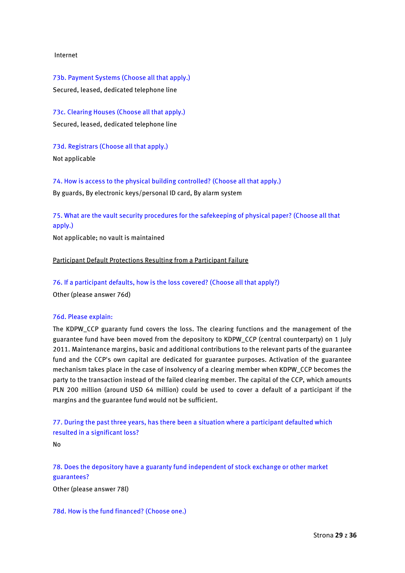### Internet

73b. Payment Systems (Choose all that apply.) Secured, leased, dedicated telephone line

73c. Clearing Houses (Choose all that apply.) Secured, leased, dedicated telephone line

73d. Registrars (Choose all that apply.) Not applicable

74. How is access to the physical building controlled? (Choose all that apply.) By guards, By electronic keys/personal ID card, By alarm system

75. What are the vault security procedures for the safekeeping of physical paper? (Choose all that apply.)

Not applicable; no vault is maintained

Participant Default Protections Resulting from a Participant Failure

76. If a participant defaults, how is the loss covered? (Choose all that apply?) Other (please answer 76d)

### 76d. Please explain:

The KDPW\_CCP guaranty fund covers the loss. The clearing functions and the management of the guarantee fund have been moved from the depository to KDPW\_CCP (central counterparty) on 1 July 2011. Maintenance margins, basic and additional contributions to the relevant parts of the guarantee fund and the CCP's own capital are dedicated for guarantee purposes. Activation of the guarantee mechanism takes place in the case of insolvency of a clearing member when KDPW\_CCP becomes the party to the transaction instead of the failed clearing member. The capital of the CCP, which amounts PLN 200 million (around USD 64 million) could be used to cover a default of a participant if the margins and the guarantee fund would not be sufficient.

77. During the past three years, has there been a situation where a participant defaulted which resulted in a significant loss?

No

78. Does the depository have a guaranty fund independent of stock exchange or other market guarantees?

Other (please answer 78l)

78d. How is the fund financed? (Choose one.)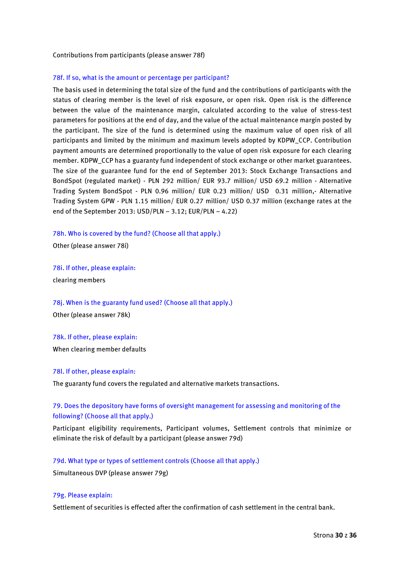#### Contributions from participants (please answer 78f)

#### 78f. If so, what is the amount or percentage per participant?

The basis used in determining the total size of the fund and the contributions of participants with the status of clearing member is the level of risk exposure, or open risk. Open risk is the difference between the value of the maintenance margin, calculated according to the value of stress-test parameters for positions at the end of day, and the value of the actual maintenance margin posted by the participant. The size of the fund is determined using the maximum value of open risk of all participants and limited by the minimum and maximum levels adopted by KDPW\_CCP. Contribution payment amounts are determined proportionally to the value of open risk exposure for each clearing member. KDPW\_CCP has a guaranty fund independent of stock exchange or other market guarantees. The size of the guarantee fund for the end of September 2013: Stock Exchange Transactions and BondSpot (regulated market) - PLN 292 million/ EUR 93.7 million/ USD 69.2 million - Alternative Trading System BondSpot - PLN 0.96 million/ EUR 0.23 million/ USD 0.31 million,- Alternative Trading System GPW - PLN 1.15 million/ EUR 0.27 million/ USD 0.37 million (exchange rates at the end of the September 2013: USD/PLN – 3.12; EUR/PLN – 4.22)

#### 78h. Who is covered by the fund? (Choose all that apply.)

Other (please answer 78i)

78i. If other, please explain:

clearing members

78j. When is the guaranty fund used? (Choose all that apply.)

Other (please answer 78k)

#### 78k. If other, please explain:

When clearing member defaults

#### 78l. If other, please explain:

The guaranty fund covers the regulated and alternative markets transactions.

# 79. Does the depository have forms of oversight management for assessing and monitoring of the following? (Choose all that apply.)

Participant eligibility requirements, Participant volumes, Settlement controls that minimize or eliminate the risk of default by a participant (please answer 79d)

#### 79d. What type or types of settlement controls (Choose all that apply.)

Simultaneous DVP (please answer 79g)

## 79g. Please explain:

Settlement of securities is effected after the confirmation of cash settlement in the central bank.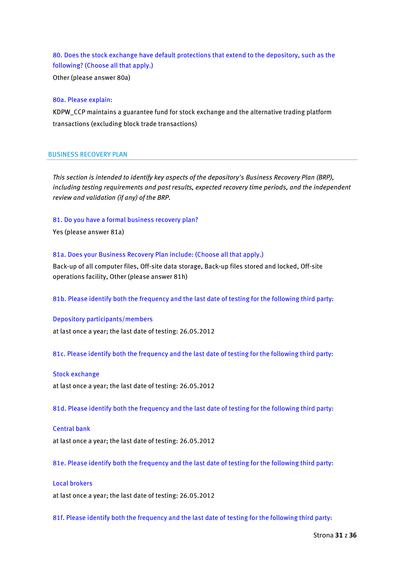80. Does the stock exchange have default protections that extend to the depository, such as the following? (Choose all that apply.)

Other (please answer 80a)

#### 80a. Please explain:

KDPW\_CCP maintains a guarantee fund for stock exchange and the alternative trading platform transactions (excluding block trade transactions)

#### BUSINESS RECOVERY PLAN

*This section is intended to identify key aspects of the depository's Business Recovery Plan (BRP), including testing requirements and past results, expected recovery time periods, and the independent review and validation (if any) of the BRP.*

#### 81. Do you have a formal business recovery plan?

Yes (please answer 81a)

#### 81a. Does your Business Recovery Plan include: (Choose all that apply.)

Back-up of all computer files, Off-site data storage, Back-up files stored and locked, Off-site operations facility, Other (please answer 81h)

81b. Please identify both the frequency and the last date of testing for the following third party:

#### Depository participants/members

at last once a year; the last date of testing: 26.05.2012

81c. Please identify both the frequency and the last date of testing for the following third party:

#### Stock exchange

at last once a year; the last date of testing: 26.05.2012

81d. Please identify both the frequency and the last date of testing for the following third party:

#### Central bank

at last once a year; the last date of testing: 26.05.2012

81e. Please identify both the frequency and the last date of testing for the following third party:

### Local brokers

at last once a year; the last date of testing: 26.05.2012

81f. Please identify both the frequency and the last date of testing for the following third party: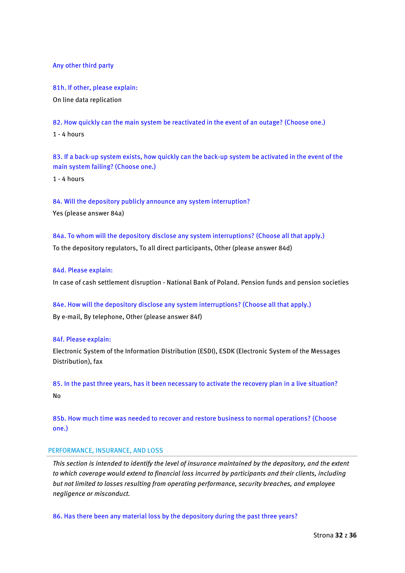Any other third party

81h. If other, please explain: On line data replication

82. How quickly can the main system be reactivated in the event of an outage? (Choose one.) 1 - 4 hours

83. If a back-up system exists, how quickly can the back-up system be activated in the event of the main system failing? (Choose one.)

1 - 4 hours

84. Will the depository publicly announce any system interruption? Yes (please answer 84a)

84a. To whom will the depository disclose any system interruptions? (Choose all that apply.) To the depository regulators, To all direct participants, Other (please answer 84d)

## 84d. Please explain:

In case of cash settlement disruption - National Bank of Poland. Pension funds and pension societies

84e. How will the depository disclose any system interruptions? (Choose all that apply.) By e-mail, By telephone, Other (please answer 84f)

## 84f. Please explain:

Electronic System of the Information Distribution (ESDI), ESDK (Electronic System of the Messages Distribution), fax

85. In the past three years, has it been necessary to activate the recovery plan in a live situation? No

85b. How much time was needed to recover and restore business to normal operations? (Choose one.)

## PERFORMANCE, INSURANCE, AND LOSS

*This section is intended to identify the level of insurance maintained by the depository, and the extent to which coverage would extend to financial loss incurred by participants and their clients, including but not limited to losses resulting from operating performance, security breaches, and employee negligence or misconduct.*

86. Has there been any material loss by the depository during the past three years?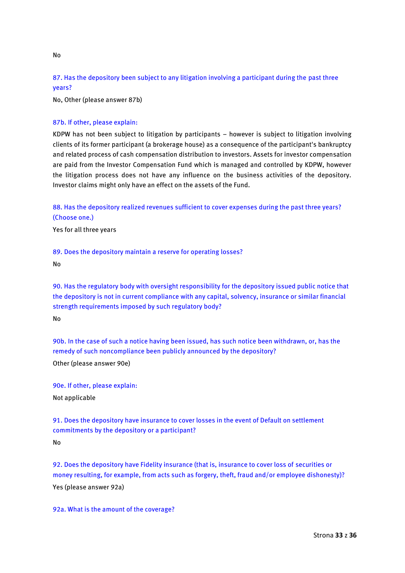# 87. Has the depository been subject to any litigation involving a participant during the past three years?

No, Other (please answer 87b)

## 87b. If other, please explain:

KDPW has not been subject to litigation by participants – however is subject to litigation involving clients of its former participant (a brokerage house) as a consequence of the participant's bankruptcy and related process of cash compensation distribution to investors. Assets for investor compensation are paid from the Investor Compensation Fund which is managed and controlled by KDPW, however the litigation process does not have any influence on the business activities of the depository. Investor claims might only have an effect on the assets of the Fund.

88. Has the depository realized revenues sufficient to cover expenses during the past three years? (Choose one.)

Yes for all three years

89. Does the depository maintain a reserve for operating losses?

No

90. Has the regulatory body with oversight responsibility for the depository issued public notice that the depository is not in current compliance with any capital, solvency, insurance or similar financial strength requirements imposed by such regulatory body?

No

90b. In the case of such a notice having been issued, has such notice been withdrawn, or, has the remedy of such noncompliance been publicly announced by the depository? Other (please answer 90e)

90e. If other, please explain: Not applicable

91. Does the depository have insurance to cover losses in the event of Default on settlement commitments by the depository or a participant? No

92. Does the depository have Fidelity insurance (that is, insurance to cover loss of securities or money resulting, for example, from acts such as forgery, theft, fraud and/or employee dishonesty)? Yes (please answer 92a)

92a. What is the amount of the coverage?

No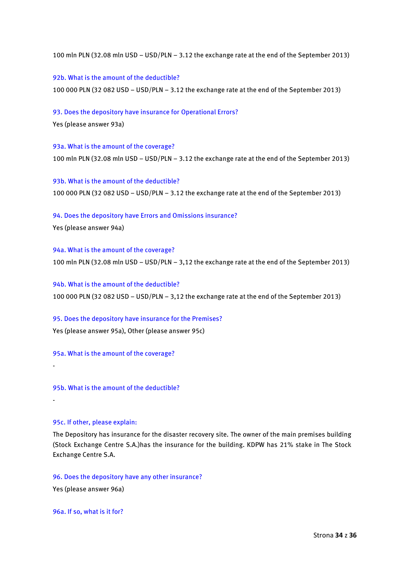100 mln PLN (32.08 mln USD – USD/PLN – 3.12 the exchange rate at the end of the September 2013)

92b. What is the amount of the deductible?

100 000 PLN (32 082 USD – USD/PLN – 3.12 the exchange rate at the end of the September 2013)

93. Does the depository have insurance for Operational Errors?

Yes (please answer 93a)

93a. What is the amount of the coverage? 100 mln PLN (32.08 mln USD – USD/PLN – 3.12 the exchange rate at the end of the September 2013)

93b. What is the amount of the deductible? 100 000 PLN (32 082 USD – USD/PLN – 3.12 the exchange rate at the end of the September 2013)

94. Does the depository have Errors and Omissions insurance? Yes (please answer 94a)

94a. What is the amount of the coverage? 100 mln PLN (32.08 mln USD – USD/PLN – 3,12 the exchange rate at the end of the September 2013)

94b. What is the amount of the deductible? 100 000 PLN (32 082 USD – USD/PLN – 3,12 the exchange rate at the end of the September 2013)

95. Does the depository have insurance for the Premises? Yes (please answer 95a), Other (please answer 95c)

95a. What is the amount of the coverage?

95b. What is the amount of the deductible?

95c. If other, please explain:

-

-

The Depository has insurance for the disaster recovery site. The owner of the main premises building (Stock Exchange Centre S.A.)has the insurance for the building. KDPW has 21% stake in The Stock Exchange Centre S.A.

96. Does the depository have any other insurance?

Yes (please answer 96a)

96a. If so, what is it for?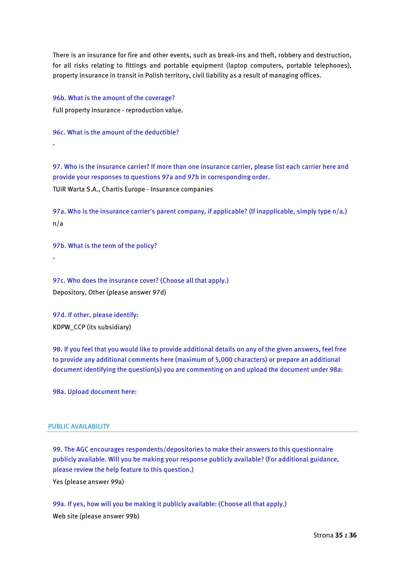There is an insurance for fire and other events, such as break-ins and theft, robbery and destruction, for all risks relating to fittings and portable equipment (laptop computers, portable telephones), property insurance in transit in Polish territory, civil liability as a result of managing offices.

96b. What is the amount of the coverage? Full property insurance - reproduction value.

96c. What is the amount of the deductible?

-

-

97. Who is the insurance carrier? If more than one insurance carrier, please list each carrier here and provide your responses to questions 97a and 97b in corresponding order. TUiR Warta S.A., Chartis Europe - Insurance companies

97a. Who is the insurance carrier's parent company, if applicable? (If inapplicable, simply type n/a.) n/a

97b. What is the term of the policy?

97c. Who does the insurance cover? (Choose all that apply.) Depository, Other (please answer 97d)

97d. If other, please identify: KDPW\_CCP (its subsidiary)

98. If you feel that you would like to provide additional details on any of the given answers, feel free to provide any additional comments here (maximum of 5,000 characters) or prepare an additional document identifying the question(s) you are commenting on and upload the document under 98a:

98a. Upload document here:

### PUBLIC AVAILABILITY

99. The AGC encourages respondents/depositories to make their answers to this questionnaire publicly available. Will you be making your response publicly available? (For additional guidance, please review the help feature to this question.)

Yes (please answer 99a)

99a. If yes, how will you be making it publicly available: (Choose all that apply.) Web site (please answer 99b)